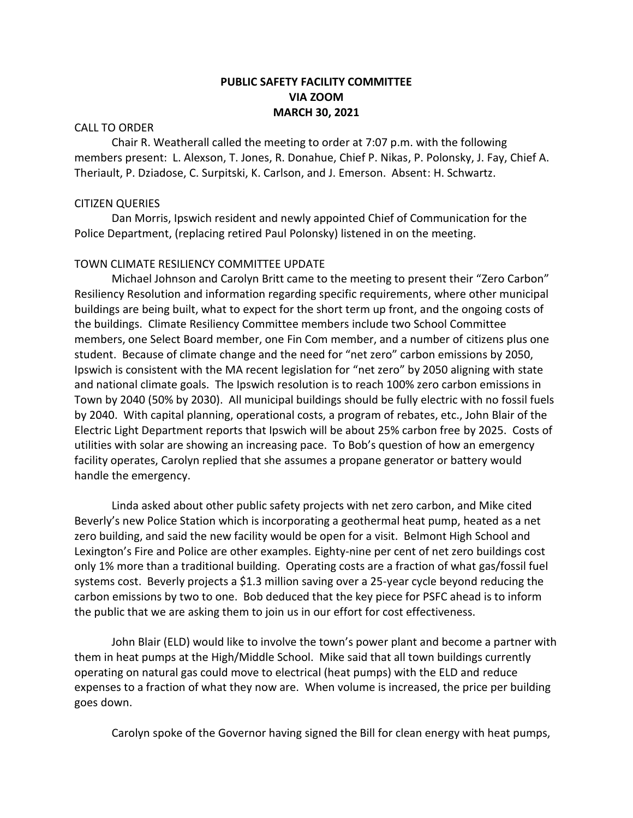# **PUBLIC SAFETY FACILITY COMMITTEE VIA ZOOM MARCH 30, 2021**

## CALL TO ORDER

Chair R. Weatherall called the meeting to order at 7:07 p.m. with the following members present: L. Alexson, T. Jones, R. Donahue, Chief P. Nikas, P. Polonsky, J. Fay, Chief A. Theriault, P. Dziadose, C. Surpitski, K. Carlson, and J. Emerson. Absent: H. Schwartz.

## CITIZEN QUERIES

Dan Morris, Ipswich resident and newly appointed Chief of Communication for the Police Department, (replacing retired Paul Polonsky) listened in on the meeting.

# TOWN CLIMATE RESILIENCY COMMITTEE UPDATE

Michael Johnson and Carolyn Britt came to the meeting to present their "Zero Carbon" Resiliency Resolution and information regarding specific requirements, where other municipal buildings are being built, what to expect for the short term up front, and the ongoing costs of the buildings. Climate Resiliency Committee members include two School Committee members, one Select Board member, one Fin Com member, and a number of citizens plus one student. Because of climate change and the need for "net zero" carbon emissions by 2050, Ipswich is consistent with the MA recent legislation for "net zero" by 2050 aligning with state and national climate goals. The Ipswich resolution is to reach 100% zero carbon emissions in Town by 2040 (50% by 2030). All municipal buildings should be fully electric with no fossil fuels by 2040. With capital planning, operational costs, a program of rebates, etc., John Blair of the Electric Light Department reports that Ipswich will be about 25% carbon free by 2025. Costs of utilities with solar are showing an increasing pace. To Bob's question of how an emergency facility operates, Carolyn replied that she assumes a propane generator or battery would handle the emergency.

Linda asked about other public safety projects with net zero carbon, and Mike cited Beverly's new Police Station which is incorporating a geothermal heat pump, heated as a net zero building, and said the new facility would be open for a visit. Belmont High School and Lexington's Fire and Police are other examples. Eighty-nine per cent of net zero buildings cost only 1% more than a traditional building. Operating costs are a fraction of what gas/fossil fuel systems cost. Beverly projects a \$1.3 million saving over a 25-year cycle beyond reducing the carbon emissions by two to one. Bob deduced that the key piece for PSFC ahead is to inform the public that we are asking them to join us in our effort for cost effectiveness.

John Blair (ELD) would like to involve the town's power plant and become a partner with them in heat pumps at the High/Middle School. Mike said that all town buildings currently operating on natural gas could move to electrical (heat pumps) with the ELD and reduce expenses to a fraction of what they now are. When volume is increased, the price per building goes down.

Carolyn spoke of the Governor having signed the Bill for clean energy with heat pumps,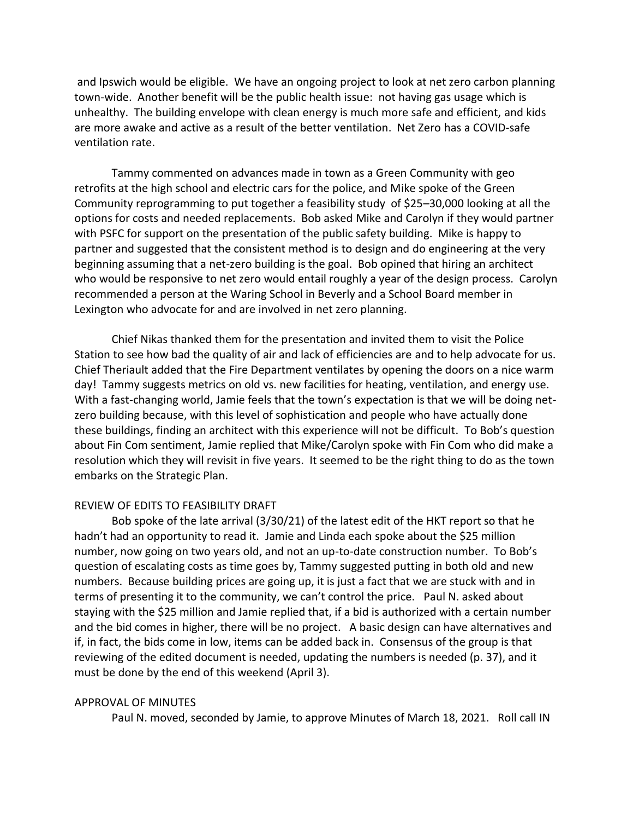and Ipswich would be eligible. We have an ongoing project to look at net zero carbon planning town-wide. Another benefit will be the public health issue: not having gas usage which is unhealthy. The building envelope with clean energy is much more safe and efficient, and kids are more awake and active as a result of the better ventilation. Net Zero has a COVID-safe ventilation rate.

Tammy commented on advances made in town as a Green Community with geo retrofits at the high school and electric cars for the police, and Mike spoke of the Green Community reprogramming to put together a feasibility study of \$25–30,000 looking at all the options for costs and needed replacements. Bob asked Mike and Carolyn if they would partner with PSFC for support on the presentation of the public safety building. Mike is happy to partner and suggested that the consistent method is to design and do engineering at the very beginning assuming that a net-zero building is the goal. Bob opined that hiring an architect who would be responsive to net zero would entail roughly a year of the design process. Carolyn recommended a person at the Waring School in Beverly and a School Board member in Lexington who advocate for and are involved in net zero planning.

Chief Nikas thanked them for the presentation and invited them to visit the Police Station to see how bad the quality of air and lack of efficiencies are and to help advocate for us. Chief Theriault added that the Fire Department ventilates by opening the doors on a nice warm day! Tammy suggests metrics on old vs. new facilities for heating, ventilation, and energy use. With a fast-changing world, Jamie feels that the town's expectation is that we will be doing netzero building because, with this level of sophistication and people who have actually done these buildings, finding an architect with this experience will not be difficult. To Bob's question about Fin Com sentiment, Jamie replied that Mike/Carolyn spoke with Fin Com who did make a resolution which they will revisit in five years. It seemed to be the right thing to do as the town embarks on the Strategic Plan.

#### REVIEW OF EDITS TO FEASIBILITY DRAFT

Bob spoke of the late arrival (3/30/21) of the latest edit of the HKT report so that he hadn't had an opportunity to read it. Jamie and Linda each spoke about the \$25 million number, now going on two years old, and not an up-to-date construction number. To Bob's question of escalating costs as time goes by, Tammy suggested putting in both old and new numbers. Because building prices are going up, it is just a fact that we are stuck with and in terms of presenting it to the community, we can't control the price. Paul N. asked about staying with the \$25 million and Jamie replied that, if a bid is authorized with a certain number and the bid comes in higher, there will be no project. A basic design can have alternatives and if, in fact, the bids come in low, items can be added back in. Consensus of the group is that reviewing of the edited document is needed, updating the numbers is needed (p. 37), and it must be done by the end of this weekend (April 3).

# APPROVAL OF MINUTES

Paul N. moved, seconded by Jamie, to approve Minutes of March 18, 2021. Roll call IN